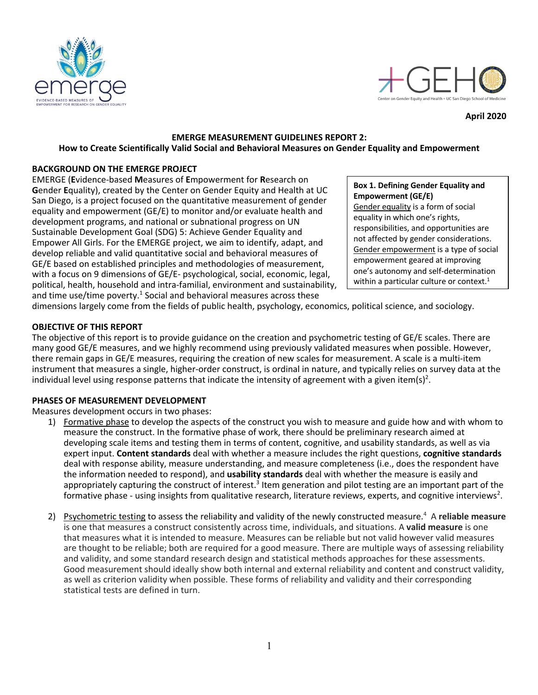



## **April 2020**

#### **EMERGE MEASUREMENT GUIDELINES REPORT 2:**

#### **How to Create Scientifically Valid Social and Behavioral Measures on Gender Equality and Empowerment**

#### **BACKGROUND ON THE EMERGE PROJECT**

EMERGE (**E**vidence-based **M**easures of **E**mpowerment for **R**esearch on **G**ender **E**quality), created by the Center on Gender Equity and Health at UC San Diego, is a project focused on the quantitative measurement of gender equality and empowerment (GE/E) to monitor and/or evaluate health and development programs, and national or subnational progress on UN Sustainable Development Goal (SDG) 5: Achieve Gender Equality and Empower All Girls. For the EMERGE project, we aim to identify, adapt, and develop reliable and valid quantitative social and behavioral measures of GE/E based on established principles and methodologies of measurement, with a focus on 9 dimensions of GE/E- psychological, social, economic, legal, political, health, household and intra-familial, environment and sustainability, and time use/time poverty. $<sup>1</sup>$  Social and behavioral measures across these</sup>

**Box 1. Defining Gender Equality and Empowerment (GE/E)** Gender equality is a form of social equality in which one's rights, responsibilities, and opportunities are not affected by gender considerations. Gender empowerment is a type of social empowerment geared at improving one's autonomy and self-determination within a particular culture or context.<sup>1</sup>

dimensions largely come from the fields of public health, psychology, economics, political science, and sociology.

### **OBJECTIVE OF THIS REPORT**

The objective of this report is to provide guidance on the creation and psychometric testing of GE/E scales. There are many good GE/E measures, and we highly recommend using previously validated measures when possible. However, there remain gaps in GE/E measures, requiring the creation of new scales for measurement. A scale is a multi-item instrument that measures a single, higher-order construct, is ordinal in nature, and typically relies on survey data at the individual level using response patterns that indicate the intensity of agreement with a given item(s)<sup>2</sup>.

#### **PHASES OF MEASUREMENT DEVELOPMENT**

Measures development occurs in two phases:

- 1) Formative phase to develop the aspects of the construct you wish to measure and guide how and with whom to measure the construct. In the formative phase of work, there should be preliminary research aimed at developing scale items and testing them in terms of content, cognitive, and usability standards, as well as via expert input. **Content standards** deal with whether a measure includes the right questions, **cognitive standards** deal with response ability, measure understanding, and measure completeness (i.e., does the respondent have the information needed to respond), and **usability standards** deal with whether the measure is easily and appropriately capturing the construct of interest.<sup>3</sup> Item generation and pilot testing are an important part of the formative phase - using insights from qualitative research, literature reviews, experts, and cognitive interviews<sup>2</sup>.
- 2) Psychometric testing to assess the reliability and validity of the newly constructed measure.<sup>4</sup> A reliable measure is one that measures a construct consistently across time, individuals, and situations. A **valid measure** is one that measures what it is intended to measure. Measures can be reliable but not valid however valid measures are thought to be reliable; both are required for a good measure. There are multiple ways of assessing reliability and validity, and some standard research design and statistical methods approaches for these assessments. Good measurement should ideally show both internal and external reliability and content and construct validity, as well as criterion validity when possible. These forms of reliability and validity and their corresponding statistical tests are defined in turn.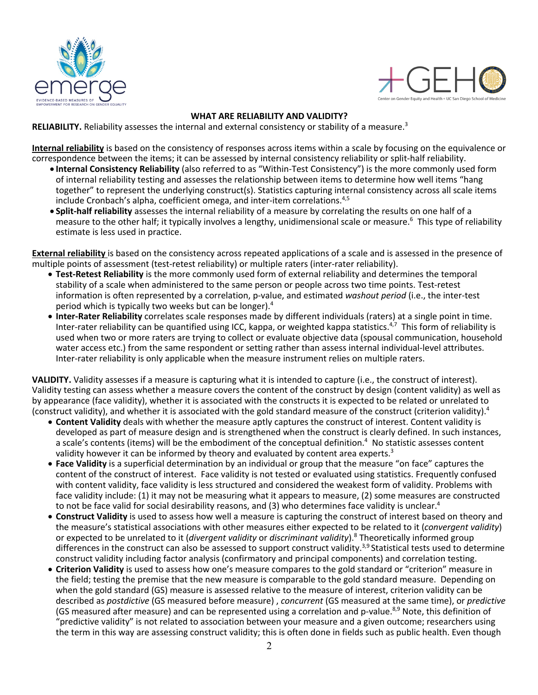



#### **WHAT ARE RELIABILITY AND VALIDITY?**

RELIABILITY. Reliability assesses the internal and external consistency or stability of a measure.<sup>3</sup>

**Internal reliability** is based on the consistency of responses across items within a scale by focusing on the equivalence or correspondence between the items; it can be assessed by internal consistency reliability or split-half reliability.

- **Internal Consistency Reliability** (also referred to as "Within-Test Consistency") is the more commonly used form of internal reliability testing and assesses the relationship between items to determine how well items "hang together" to represent the underlying construct(s). Statistics capturing internal consistency across all scale items include Cronbach's alpha, coefficient omega, and inter-item correlations.<sup>4,5</sup>
- **Split-half reliability** assesses the internal reliability of a measure by correlating the results on one half of a measure to the other half; it typically involves a lengthy, unidimensional scale or measure. <sup>6</sup> This type of reliability estimate is less used in practice.

**External reliability** is based on the consistency across repeated applications of a scale and is assessed in the presence of multiple points of assessment (test-retest reliability) or multiple raters (inter-rater reliability).

- **Test-Retest Reliability** is the more commonly used form of external reliability and determines the temporal stability of a scale when administered to the same person or people across two time points. Test-retest information is often represented by a correlation, p-value, and estimated *washout period* (i.e., the inter-test period which is typically two weeks but can be longer).<sup>4</sup>
- **Inter-Rater Reliability** correlates scale responses made by different individuals (raters) at a single point in time. Inter-rater reliability can be quantified using ICC, kappa, or weighted kappa statistics.<sup>4,7</sup> This form of reliability is used when two or more raters are trying to collect or evaluate objective data (spousal communication, household water access etc.) from the same respondent or setting rather than assess internal individual-level attributes. Inter-rater reliability is only applicable when the measure instrument relies on multiple raters.

**VALIDITY.** Validity assesses if a measure is capturing what it is intended to capture (i.e., the construct of interest). Validity testing can assess whether a measure covers the content of the construct by design (content validity) as well as by appearance (face validity), whether it is associated with the constructs it is expected to be related or unrelated to (construct validity), and whether it is associated with the gold standard measure of the construct (criterion validity). 4

- **Content Validity** deals with whether the measure aptly captures the construct of interest. Content validity is developed as part of measure design and is strengthened when the construct is clearly defined. In such instances, a scale's contents (items) will be the embodiment of the conceptual definition. 4 No statistic assesses content validity however it can be informed by theory and evaluated by content area experts.<sup>3</sup>
- **Face Validity** is a superficial determination by an individual or group that the measure "on face" captures the content of the construct of interest. Face validity is not tested or evaluated using statistics. Frequently confused with content validity, face validity is less structured and considered the weakest form of validity. Problems with face validity include: (1) it may not be measuring what it appears to measure, (2) some measures are constructed to not be face valid for social desirability reasons, and (3) who determines face validity is unclear.<sup>4</sup>
- **Construct Validity** is used to assess how well a measure is capturing the construct of interest based on theory and the measure's statistical associations with other measures either expected to be related to it (*convergent validity*) or expected to be unrelated to it (*divergent validity* or *discriminant validity*).8 Theoretically informed group differences in the construct can also be assessed to support construct validity.<sup>3,9</sup> Statistical tests used to determine construct validity including factor analysis (confirmatory and principal components) and correlation testing.
- **Criterion Validity** is used to assess how one's measure compares to the gold standard or "criterion" measure in the field; testing the premise that the new measure is comparable to the gold standard measure. Depending on when the gold standard (GS) measure is assessed relative to the measure of interest, criterion validity can be described as *postdictive* (GS measured before measure) , *concurrent* (GS measured at the same time), or *predictive* (GS measured after measure) and can be represented using a correlation and p-value.<sup>8,9</sup> Note, this definition of "predictive validity" is not related to association between your measure and a given outcome; researchers using the term in this way are assessing construct validity; this is often done in fields such as public health. Even though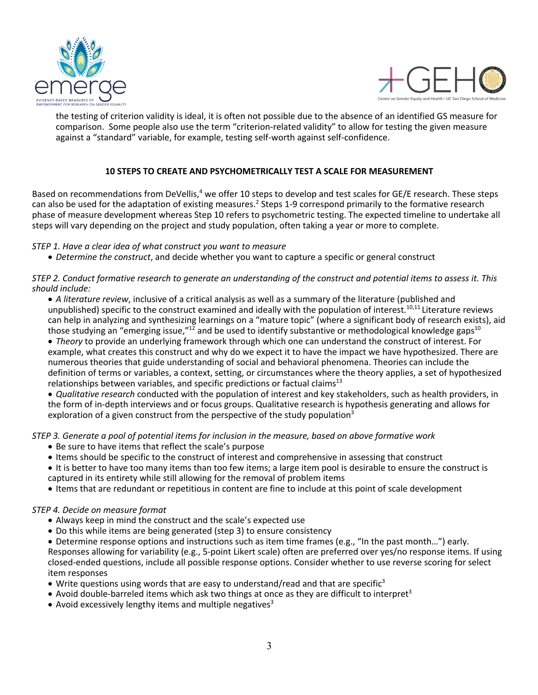



the testing of criterion validity is ideal, it is often not possible due to the absence of an identified GS measure for comparison. Some people also use the term "criterion-related validity" to allow for testing the given measure against a "standard" variable, for example, testing self-worth against self-confidence.

## **10 STEPS TO CREATE AND PSYCHOMETRICALLY TEST A SCALE FOR MEASUREMENT**

Based on recommendations from DeVellis,<sup>4</sup> we offer 10 steps to develop and test scales for GE/E research. These steps can also be used for the adaptation of existing measures.<sup>2</sup> Steps 1-9 correspond primarily to the formative research phase of measure development whereas Step 10 refers to psychometric testing. The expected timeline to undertake all steps will vary depending on the project and study population, often taking a year or more to complete.

*STEP 1. Have a clear idea of what construct you want to measure*

• *Determine the construct*, and decide whether you want to capture a specific or general construct

## *STEP 2. Conduct formative research to generate an understanding of the construct and potential items to assess it. This should include:*

• *A literature review*, inclusive of a critical analysis as well as a summary of the literature (published and unpublished) specific to the construct examined and ideally with the population of interest.<sup>10,11</sup> Literature reviews can help in analyzing and synthesizing learnings on a "mature topic" (where a significant body of research exists), aid those studying an "emerging issue," $^{12}$  and be used to identify substantive or methodological knowledge gaps<sup>10</sup>

• *Theory* to provide an underlying framework through which one can understand the construct of interest. For example, what creates this construct and why do we expect it to have the impact we have hypothesized. There are numerous theories that guide understanding of social and behavioral phenomena. Theories can include the definition of terms or variables, a context, setting, or circumstances where the theory applies, a set of hypothesized relationships between variables, and specific predictions or factual claims<sup>13</sup>

• *Qualitative research* conducted with the population of interest and key stakeholders, such as health providers, in the form of in-depth interviews and or focus groups. Qualitative research is hypothesis generating and allows for exploration of a given construct from the perspective of the study population<sup>3</sup>

*STEP 3. Generate a pool of potential items for inclusion in the measure, based on above formative work*

- Be sure to have items that reflect the scale's purpose
- Items should be specific to the construct of interest and comprehensive in assessing that construct
- It is better to have too many items than too few items; a large item pool is desirable to ensure the construct is captured in its entirety while still allowing for the removal of problem items
- Items that are redundant or repetitious in content are fine to include at this point of scale development

#### *STEP 4. Decide on measure format*

- Always keep in mind the construct and the scale's expected use
- Do this while items are being generated (step 3) to ensure consistency

• Determine response options and instructions such as item time frames (e.g., "In the past month…") early. Responses allowing for variability (e.g., 5-point Likert scale) often are preferred over yes/no response items. If using closed-ended questions, include all possible response options. Consider whether to use reverse scoring for select item responses

- Write questions using words that are easy to understand/read and that are specific<sup>3</sup>
- Avoid double-barreled items which ask two things at once as they are difficult to interpret<sup>3</sup>
- Avoid excessively lengthy items and multiple negatives<sup>3</sup>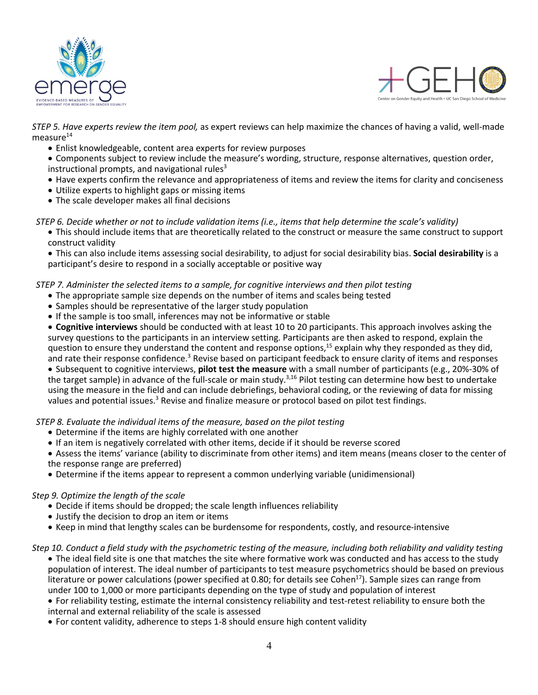



*STEP 5. Have experts review the item pool,* as expert reviews can help maximize the chances of having a valid, well-made measure $^{14}$ 

- Enlist knowledgeable, content area experts for review purposes
- Components subject to review include the measure's wording, structure, response alternatives, question order, instructional prompts, and navigational rules $3$
- Have experts confirm the relevance and appropriateness of items and review the items for clarity and conciseness
- Utilize experts to highlight gaps or missing items
- The scale developer makes all final decisions

### *STEP 6. Decide whether or not to include validation items (i.e., items that help determine the scale's validity)*

• This should include items that are theoretically related to the construct or measure the same construct to support construct validity

• This can also include items assessing social desirability, to adjust for social desirability bias. **Social desirability** is a participant's desire to respond in a socially acceptable or positive way

### *STEP 7. Administer the selected items to a sample, for cognitive interviews and then pilot testing*

- The appropriate sample size depends on the number of items and scales being tested
- Samples should be representative of the larger study population
- If the sample is too small, inferences may not be informative or stable
- **Cognitive interviews** should be conducted with at least 10 to 20 participants. This approach involves asking the survey questions to the participants in an interview setting. Participants are then asked to respond, explain the question to ensure they understand the content and response options,<sup>15</sup> explain why they responded as they did, and rate their response confidence.<sup>3</sup> Revise based on participant feedback to ensure clarity of items and responses

• Subsequent to cognitive interviews, **pilot test the measure** with a small number of participants (e.g., 20%-30% of the target sample) in advance of the full-scale or main study.<sup>3,16</sup> Pilot testing can determine how best to undertake using the measure in the field and can include debriefings, behavioral coding, or the reviewing of data for missing values and potential issues.<sup>3</sup> Revise and finalize measure or protocol based on pilot test findings.

*STEP 8. Evaluate the individual items of the measure, based on the pilot testing*

- Determine if the items are highly correlated with one another
- If an item is negatively correlated with other items, decide if it should be reverse scored
- Assess the items' variance (ability to discriminate from other items) and item means (means closer to the center of the response range are preferred)
- Determine if the items appear to represent a common underlying variable (unidimensional)

#### *Step 9. Optimize the length of the scale*

- Decide if items should be dropped; the scale length influences reliability
- Justify the decision to drop an item or items
- Keep in mind that lengthy scales can be burdensome for respondents, costly, and resource-intensive

#### *Step 10. Conduct a field study with the psychometric testing of the measure, including both reliability and validity testing*

• The ideal field site is one that matches the site where formative work was conducted and has access to the study population of interest. The ideal number of participants to test measure psychometrics should be based on previous literature or power calculations (power specified at 0.80; for details see Cohen<sup>17</sup>). Sample sizes can range from under 100 to 1,000 or more participants depending on the type of study and population of interest

• For reliability testing, estimate the internal consistency reliability and test-retest reliability to ensure both the internal and external reliability of the scale is assessed

• For content validity, adherence to steps 1-8 should ensure high content validity